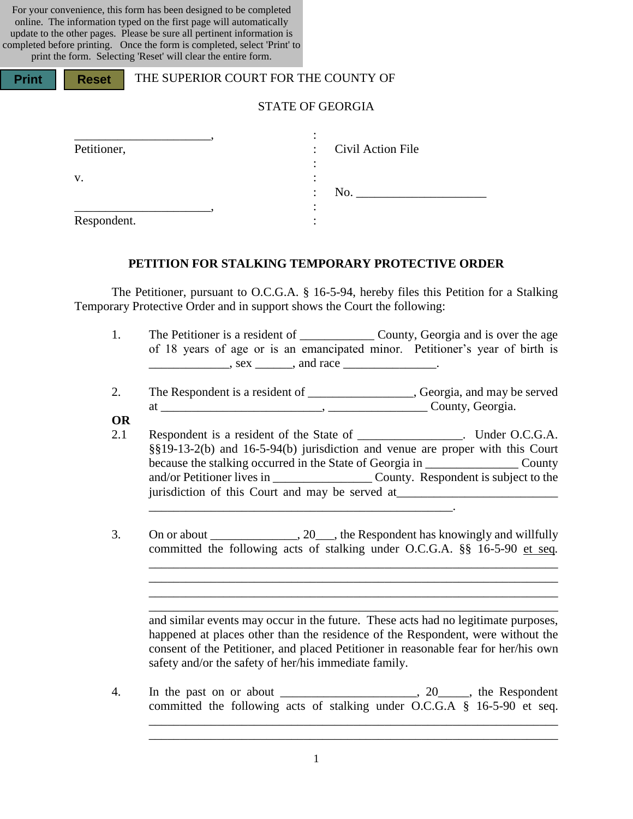For your convenience, this form has been designed to be completed online. The information typed on the first page will automatically update to the other pages. Please be sure all pertinent information is completed before printing. Once the form is completed, select 'Print' to print the form. Selecting 'Reset' will clear the entire form.

| <b>Print</b> | <b>Reset</b>      | THE SUPERIOR COURT FOR THE COUNTY OF |  |                   |  |  |
|--------------|-------------------|--------------------------------------|--|-------------------|--|--|
|              |                   | <b>STATE OF GEORGIA</b>              |  |                   |  |  |
|              | Petitioner,<br>V. |                                      |  | Civil Action File |  |  |
|              | Respondent.       |                                      |  | No.               |  |  |

#### **PETITION FOR STALKING TEMPORARY PROTECTIVE ORDER**

The Petitioner, pursuant to O.C.G.A. § 16-5-94, hereby files this Petition for a Stalking Temporary Protective Order and in support shows the Court the following:

- 1. The Petitioner is a resident of County, Georgia and is over the age of 18 years of age or is an emancipated minor. Petitioner's year of birth is  $\frac{1}{1}$ , sex  $\frac{1}{1}$ , and race  $\frac{1}{1}$ .
- 2. The Respondent is a resident of \_\_\_\_\_\_\_\_\_\_\_\_\_\_, Georgia, and may be served at \_\_\_\_\_\_\_\_\_\_\_\_\_\_\_\_\_\_\_\_\_\_\_\_\_\_, \_\_\_\_\_\_\_\_\_\_\_\_\_\_\_\_ County, Georgia.
- **OR**
- 2.1 Respondent is a resident of the State of \_\_\_\_\_\_\_\_\_\_\_\_\_\_\_\_. Under O.C.G.A. §§19-13-2(b) and 16-5-94(b) jurisdiction and venue are proper with this Court because the stalking occurred in the State of Georgia in \_\_\_\_\_\_\_\_\_\_\_\_\_\_\_ County and/or Petitioner lives in \_\_\_\_\_\_\_\_\_\_\_\_\_\_\_\_ County. Respondent is subject to the jurisdiction of this Court and may be served at  $\frac{1}{2}$  ,  $\frac{1}{2}$  ,  $\frac{1}{2}$  ,  $\frac{1}{2}$  ,  $\frac{1}{2}$  ,  $\frac{1}{2}$  ,  $\frac{1}{2}$  ,  $\frac{1}{2}$  ,  $\frac{1}{2}$  ,  $\frac{1}{2}$  ,  $\frac{1}{2}$  ,  $\frac{1}{2}$  ,  $\frac{1}{2}$  ,  $\frac{1}{2}$  ,  $\frac{1}{2}$  ,  $\frac{1}{2}$  ,  $\frac{1}{2}$  ,  $\frac{1}{2}$  ,  $\frac{1$
- 3. On or about \_\_\_\_\_\_\_\_\_\_\_\_\_, 20\_\_\_, the Respondent has knowingly and willfully committed the following acts of stalking under O.C.G.A. §§ 16-5-90 et seq*.*

\_\_\_\_\_\_\_\_\_\_\_\_\_\_\_\_\_\_\_\_\_\_\_\_\_\_\_\_\_\_\_\_\_\_\_\_\_\_\_\_\_\_\_\_\_\_\_\_\_\_\_\_\_\_\_\_\_\_\_\_\_\_\_\_\_\_ and similar events may occur in the future. These acts had no legitimate purposes, happened at places other than the residence of the Respondent, were without the consent of the Petitioner, and placed Petitioner in reasonable fear for her/his own safety and/or the safety of her/his immediate family.

\_\_\_\_\_\_\_\_\_\_\_\_\_\_\_\_\_\_\_\_\_\_\_\_\_\_\_\_\_\_\_\_\_\_\_\_\_\_\_\_\_\_\_\_\_\_\_\_\_\_\_\_\_\_\_\_\_\_\_\_\_\_\_\_\_\_ \_\_\_\_\_\_\_\_\_\_\_\_\_\_\_\_\_\_\_\_\_\_\_\_\_\_\_\_\_\_\_\_\_\_\_\_\_\_\_\_\_\_\_\_\_\_\_\_\_\_\_\_\_\_\_\_\_\_\_\_\_\_\_\_\_\_

\_\_\_\_\_\_\_\_\_\_\_\_\_\_\_\_\_\_\_\_\_\_\_\_\_\_\_\_\_\_\_\_\_\_\_\_\_\_\_\_\_\_\_\_\_\_\_\_\_\_\_\_\_\_\_\_\_\_\_\_\_\_\_\_\_\_ \_\_\_\_\_\_\_\_\_\_\_\_\_\_\_\_\_\_\_\_\_\_\_\_\_\_\_\_\_\_\_\_\_\_\_\_\_\_\_\_\_\_\_\_\_\_\_\_\_\_\_\_\_\_\_\_\_\_\_\_\_\_\_\_\_\_ \_\_\_\_\_\_\_\_\_\_\_\_\_\_\_\_\_\_\_\_\_\_\_\_\_\_\_\_\_\_\_\_\_\_\_\_\_\_\_\_\_\_\_\_\_\_\_\_\_\_\_\_\_\_\_\_\_\_\_\_\_\_\_\_\_\_

4. In the past on or about \_\_\_\_\_\_\_\_\_\_\_\_\_\_\_\_\_\_\_\_\_, 20\_\_\_\_\_, the Respondent committed the following acts of stalking under O.C.G.A § 16-5-90 et seq.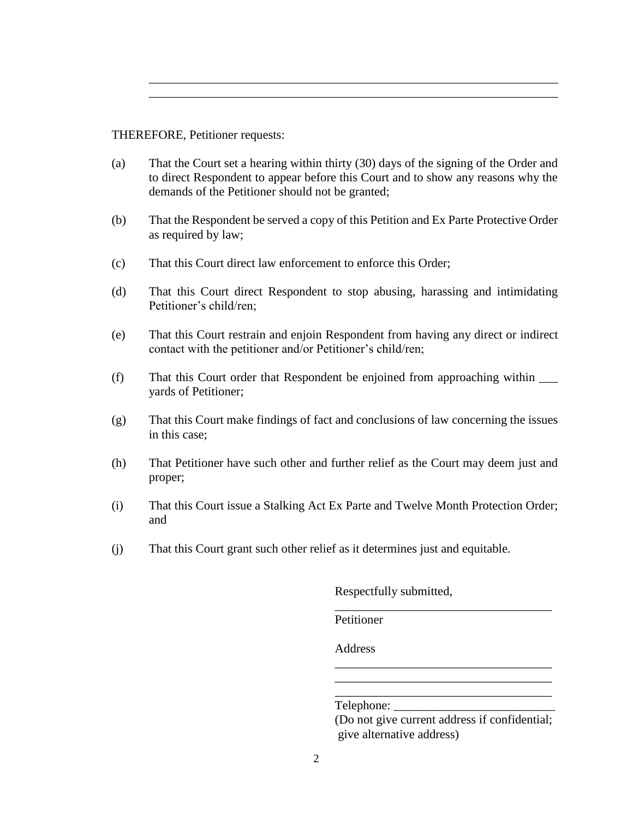THEREFORE, Petitioner requests:

(a) That the Court set a hearing within thirty (30) days of the signing of the Order and to direct Respondent to appear before this Court and to show any reasons why the demands of the Petitioner should not be granted;

\_\_\_\_\_\_\_\_\_\_\_\_\_\_\_\_\_\_\_\_\_\_\_\_\_\_\_\_\_\_\_\_\_\_\_\_\_\_\_\_\_\_\_\_\_\_\_\_\_\_\_\_\_\_\_\_\_\_\_\_\_\_\_\_\_\_ \_\_\_\_\_\_\_\_\_\_\_\_\_\_\_\_\_\_\_\_\_\_\_\_\_\_\_\_\_\_\_\_\_\_\_\_\_\_\_\_\_\_\_\_\_\_\_\_\_\_\_\_\_\_\_\_\_\_\_\_\_\_\_\_\_\_

- (b) That the Respondent be served a copy of this Petition and Ex Parte Protective Order as required by law;
- (c) That this Court direct law enforcement to enforce this Order;
- (d) That this Court direct Respondent to stop abusing, harassing and intimidating Petitioner's child/ren;
- (e) That this Court restrain and enjoin Respondent from having any direct or indirect contact with the petitioner and/or Petitioner's child/ren;
- (f) That this Court order that Respondent be enjoined from approaching within \_\_\_ yards of Petitioner;
- (g) That this Court make findings of fact and conclusions of law concerning the issues in this case;
- (h) That Petitioner have such other and further relief as the Court may deem just and proper;
- (i) That this Court issue a Stalking Act Ex Parte and Twelve Month Protection Order; and
- (j) That this Court grant such other relief as it determines just and equitable.

Respectfully submitted,

Petitioner

Address

Telephone:

(Do not give current address if confidential; give alternative address)

\_\_\_\_\_\_\_\_\_\_\_\_\_\_\_\_\_\_\_\_\_\_\_\_\_\_\_\_\_\_\_\_\_\_\_

\_\_\_\_\_\_\_\_\_\_\_\_\_\_\_\_\_\_\_\_\_\_\_\_\_\_\_\_\_\_\_\_\_\_\_ \_\_\_\_\_\_\_\_\_\_\_\_\_\_\_\_\_\_\_\_\_\_\_\_\_\_\_\_\_\_\_\_\_\_\_ \_\_\_\_\_\_\_\_\_\_\_\_\_\_\_\_\_\_\_\_\_\_\_\_\_\_\_\_\_\_\_\_\_\_\_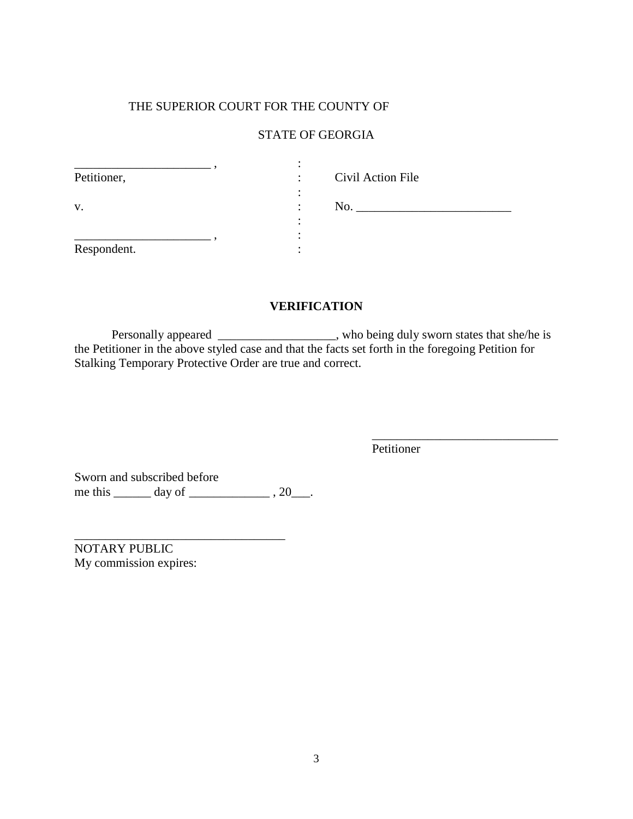#### THE SUPERIOR COURT FOR THE COUNTY OF

## STATE OF GEORGIA

| Petitioner, | Civil Action File<br>$\bullet$ |
|-------------|--------------------------------|
| V.          | No.<br>٠                       |
| Respondent. |                                |

## **VERIFICATION**

Personally appeared \_\_\_\_\_\_\_\_\_\_\_\_\_\_\_\_\_, who being duly sworn states that she/he is the Petitioner in the above styled case and that the facts set forth in the foregoing Petition for Stalking Temporary Protective Order are true and correct.

Petitioner

\_\_\_\_\_\_\_\_\_\_\_\_\_\_\_\_\_\_\_\_\_\_\_\_\_\_\_\_\_\_

Sworn and subscribed before  $m$  and substitute vertice  $m$  or  $m$ .  $20$ .

\_\_\_\_\_\_\_\_\_\_\_\_\_\_\_\_\_\_\_\_\_\_\_\_\_\_\_\_\_\_\_\_\_\_

NOTARY PUBLIC My commission expires: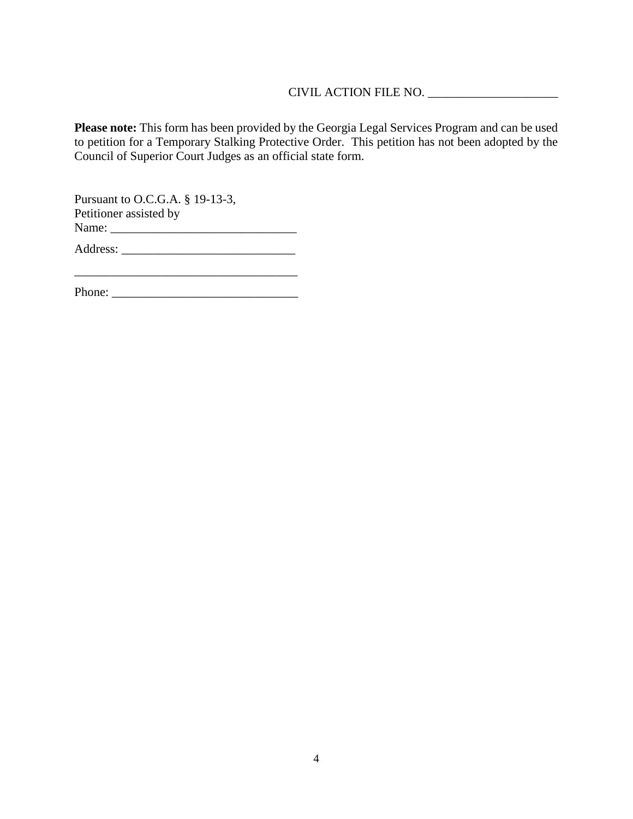## CIVIL ACTION FILE NO. \_\_\_\_\_\_\_\_\_\_\_\_\_\_\_\_\_\_\_\_\_

**Please note:** This form has been provided by the Georgia Legal Services Program and can be used to petition for a Temporary Stalking Protective Order. This petition has not been adopted by the Council of Superior Court Judges as an official state form.

Pursuant to O.C.G.A. § 19-13-3, Petitioner assisted by Name: \_\_\_\_\_\_\_\_\_\_\_\_\_\_\_\_\_\_\_\_\_\_\_\_\_\_\_\_\_\_

Address: \_\_\_\_\_\_\_\_\_\_\_\_\_\_\_\_\_\_\_\_\_\_\_\_\_\_\_\_

Phone: \_\_\_\_\_\_\_\_\_\_\_\_\_\_\_\_\_\_\_\_\_\_\_\_\_\_\_\_\_\_

\_\_\_\_\_\_\_\_\_\_\_\_\_\_\_\_\_\_\_\_\_\_\_\_\_\_\_\_\_\_\_\_\_\_\_\_